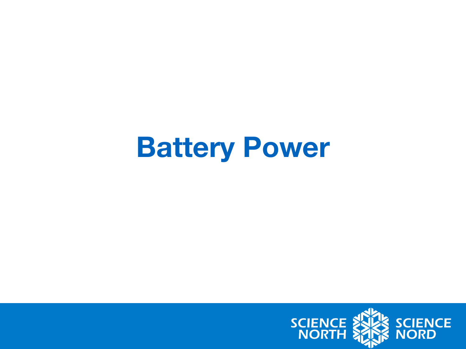### **Battery Power**

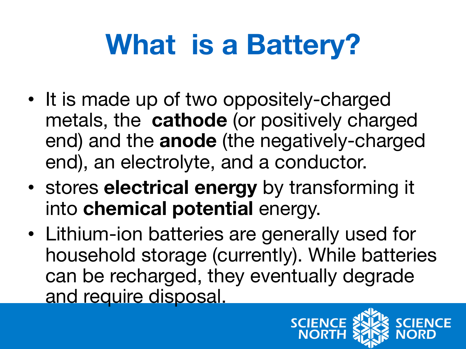# **What is a Battery?**

- It is made up of two oppositely-charged metals, the **cathode** (or positively charged end) and the **anode** (the negatively-charged end), an electrolyte, and a conductor.
- stores **electrical energy** by transforming it into **chemical potential** energy.
- Lithium-ion batteries are generally used for household storage (currently). While batteries can be recharged, they eventually degrade and require disposal.

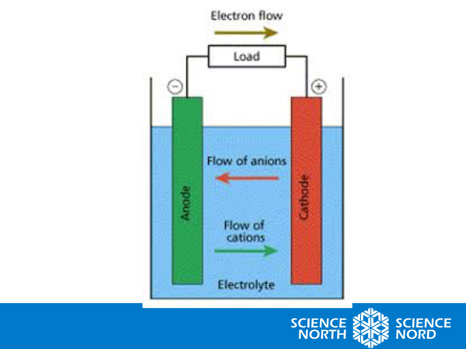

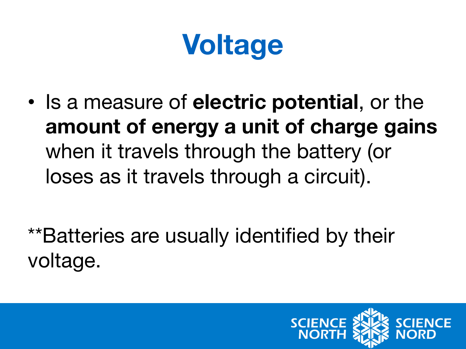## **Voltage**

• Is a measure of **electric potential**, or the **amount of energy a unit of charge gains**  when it travels through the battery (or loses as it travels through a circuit).

\*\*Batteries are usually identified by their voltage.

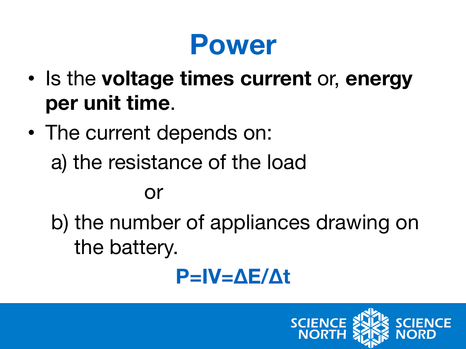### **Power**

- Is the **voltage times current** or, **energy per unit time**.
- The current depends on: a) the resistance of the load

#### or

b) the number of appliances drawing on the battery.

### **P=IV=∆E/∆t**

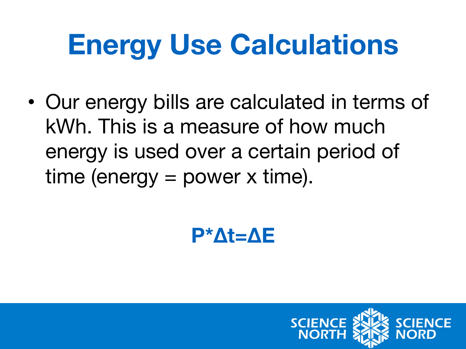## **Energy Use Calculations**

• Our energy bills are calculated in terms of kWh. This is a measure of how much energy is used over a certain period of time (energy = power x time).

#### **P\*∆t=∆E**